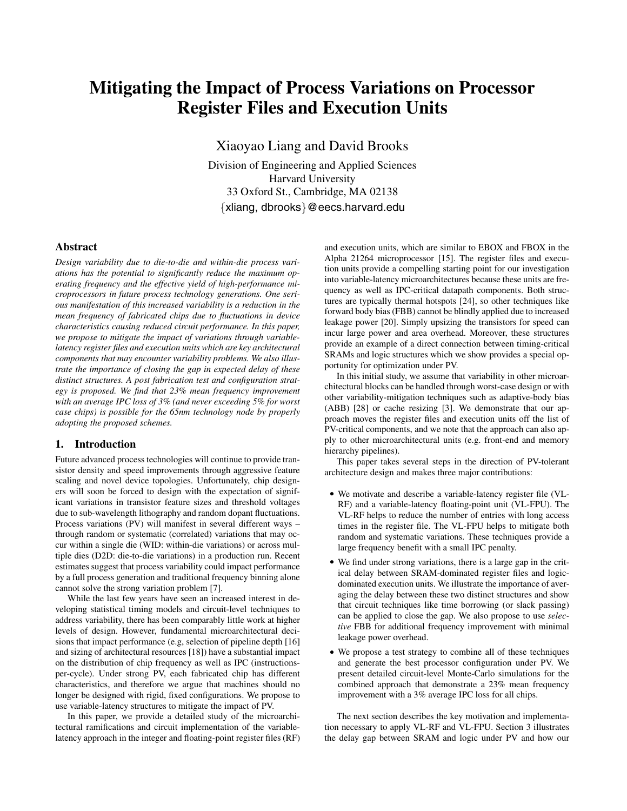# **Mitigating the Impact of Process Variations on Processor Register Files and Execution Units**

Xiaoyao Liang and David Brooks

Division of Engineering and Applied Sciences Harvard University 33 Oxford St., Cambridge, MA 02138 *{*xliang, dbrooks*}*@eecs.harvard.edu

# **Abstract**

*Design variability due to die-to-die and within-die process variations has the potential to significantly reduce the maximum operating frequency and the effective yield of high-performance microprocessors in future process technology generations. One serious manifestation of this increased variability is a reduction in the mean frequency of fabricated chips due to fluctuations in device characteristics causing reduced circuit performance. In this paper, we propose to mitigate the impact of variations through variablelatency register files and execution units which are key architectural components that may encounter variability problems. We also illustrate the importance of closing the gap in expected delay of these distinct structures. A post fabrication test and configuration strategy is proposed. We find that 23% mean frequency improvement with an average IPC loss of 3% (and never exceeding 5% for worst case chips) is possible for the 65nm technology node by properly adopting the proposed schemes.*

# **1. Introduction**

Future advanced process technologies will continue to provide transistor density and speed improvements through aggressive feature scaling and novel device topologies. Unfortunately, chip designers will soon be forced to design with the expectation of significant variations in transistor feature sizes and threshold voltages due to sub-wavelength lithography and random dopant fluctuations. Process variations (PV) will manifest in several different ways – through random or systematic (correlated) variations that may occur within a single die (WID: within-die variations) or across multiple dies (D2D: die-to-die variations) in a production run. Recent estimates suggest that process variability could impact performance by a full process generation and traditional frequency binning alone cannot solve the strong variation problem [7].

While the last few years have seen an increased interest in developing statistical timing models and circuit-level techniques to address variability, there has been comparably little work at higher levels of design. However, fundamental microarchitectural decisions that impact performance (e.g, selection of pipeline depth [16] and sizing of architectural resources [18]) have a substantial impact on the distribution of chip frequency as well as IPC (instructionsper-cycle). Under strong PV, each fabricated chip has different characteristics, and therefore we argue that machines should no longer be designed with rigid, fixed configurations. We propose to use variable-latency structures to mitigate the impact of PV.

In this paper, we provide a detailed study of the microarchitectural ramifications and circuit implementation of the variablelatency approach in the integer and floating-point register files (RF) and execution units, which are similar to EBOX and FBOX in the Alpha 21264 microprocessor [15]. The register files and execution units provide a compelling starting point for our investigation into variable-latency microarchitectures because these units are frequency as well as IPC-critical datapath components. Both structures are typically thermal hotspots [24], so other techniques like forward body bias (FBB) cannot be blindly applied due to increased leakage power [20]. Simply upsizing the transistors for speed can incur large power and area overhead. Moreover, these structures provide an example of a direct connection between timing-critical SRAMs and logic structures which we show provides a special opportunity for optimization under PV.

In this initial study, we assume that variability in other microarchitectural blocks can be handled through worst-case design or with other variability-mitigation techniques such as adaptive-body bias (ABB) [28] or cache resizing [3]. We demonstrate that our approach moves the register files and execution units off the list of PV-critical components, and we note that the approach can also apply to other microarchitectural units (e.g. front-end and memory hierarchy pipelines).

This paper takes several steps in the direction of PV-tolerant architecture design and makes three major contributions:

- *•* We motivate and describe a variable-latency register file (VL-RF) and a variable-latency floating-point unit (VL-FPU). The VL-RF helps to reduce the number of entries with long access times in the register file. The VL-FPU helps to mitigate both random and systematic variations. These techniques provide a large frequency benefit with a small IPC penalty.
- *•* We find under strong variations, there is a large gap in the critical delay between SRAM-dominated register files and logicdominated execution units. We illustrate the importance of averaging the delay between these two distinct structures and show that circuit techniques like time borrowing (or slack passing) can be applied to close the gap. We also propose to use *selective* FBB for additional frequency improvement with minimal leakage power overhead.
- *•* We propose a test strategy to combine all of these techniques and generate the best processor configuration under PV. We present detailed circuit-level Monte-Carlo simulations for the combined approach that demonstrate a 23% mean frequency improvement with a 3% average IPC loss for all chips.

The next section describes the key motivation and implementation necessary to apply VL-RF and VL-FPU. Section 3 illustrates the delay gap between SRAM and logic under PV and how our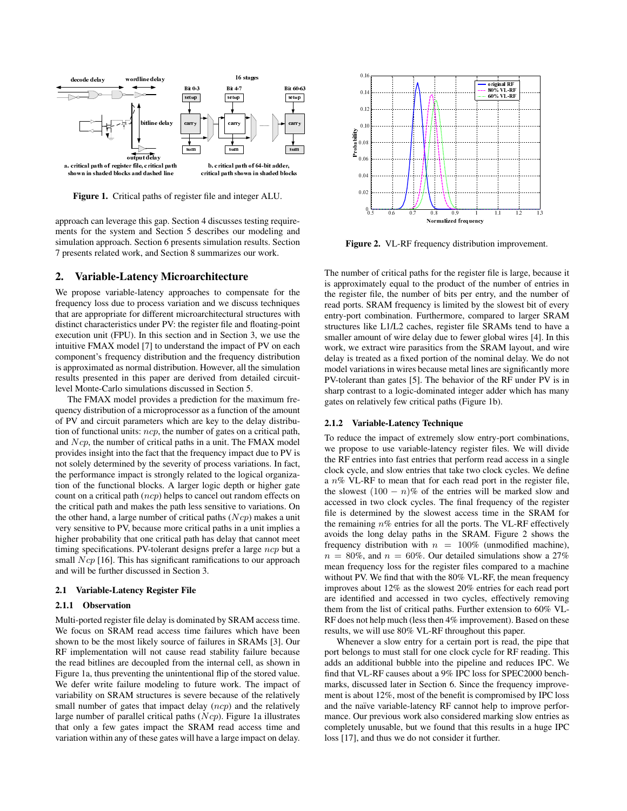

**Figure 1.** Critical paths of register file and integer ALU.

approach can leverage this gap. Section 4 discusses testing requirements for the system and Section 5 describes our modeling and simulation approach. Section 6 presents simulation results. Section 7 presents related work, and Section 8 summarizes our work.

### **2. Variable-Latency Microarchitecture**

We propose variable-latency approaches to compensate for the frequency loss due to process variation and we discuss techniques that are appropriate for different microarchitectural structures with distinct characteristics under PV: the register file and floating-point execution unit (FPU). In this section and in Section 3, we use the intuitive FMAX model [7] to understand the impact of PV on each component's frequency distribution and the frequency distribution is approximated as normal distribution. However, all the simulation results presented in this paper are derived from detailed circuitlevel Monte-Carlo simulations discussed in Section 5.

The FMAX model provides a prediction for the maximum frequency distribution of a microprocessor as a function of the amount of PV and circuit parameters which are key to the delay distribution of functional units:  $ncp$ , the number of gates on a critical path, and Ncp, the number of critical paths in a unit. The FMAX model provides insight into the fact that the frequency impact due to PV is not solely determined by the severity of process variations. In fact, the performance impact is strongly related to the logical organization of the functional blocks. A larger logic depth or higher gate count on a critical path (ncp) helps to cancel out random effects on the critical path and makes the path less sensitive to variations. On the other hand, a large number of critical paths  $(Ncp)$  makes a unit very sensitive to PV, because more critical paths in a unit implies a higher probability that one critical path has delay that cannot meet timing specifications. PV-tolerant designs prefer a large ncp but a small  $Ncp$  [16]. This has significant ramifications to our approach and will be further discussed in Section 3.

#### **2.1 Variable-Latency Register File**

#### **2.1.1 Observation**

Multi-ported register file delay is dominated by SRAM access time. We focus on SRAM read access time failures which have been shown to be the most likely source of failures in SRAMs [3]. Our RF implementation will not cause read stability failure because the read bitlines are decoupled from the internal cell, as shown in Figure 1a, thus preventing the unintentional flip of the stored value. We defer write failure modeling to future work. The impact of variability on SRAM structures is severe because of the relatively small number of gates that impact delay (ncp) and the relatively large number of parallel critical paths  $(Ncp)$ . Figure 1a illustrates that only a few gates impact the SRAM read access time and variation within any of these gates will have a large impact on delay.



**Figure 2.** VL-RF frequency distribution improvement.

The number of critical paths for the register file is large, because it is approximately equal to the product of the number of entries in the register file, the number of bits per entry, and the number of read ports. SRAM frequency is limited by the slowest bit of every entry-port combination. Furthermore, compared to larger SRAM structures like L1/L2 caches, register file SRAMs tend to have a smaller amount of wire delay due to fewer global wires [4]. In this work, we extract wire parasitics from the SRAM layout, and wire delay is treated as a fixed portion of the nominal delay. We do not model variations in wires because metal lines are significantly more PV-tolerant than gates [5]. The behavior of the RF under PV is in sharp contrast to a logic-dominated integer adder which has many gates on relatively few critical paths (Figure 1b).

### **2.1.2 Variable-Latency Technique**

To reduce the impact of extremely slow entry-port combinations, we propose to use variable-latency register files. We will divide the RF entries into fast entries that perform read access in a single clock cycle, and slow entries that take two clock cycles. We define a  $n\%$  VL-RF to mean that for each read port in the register file, the slowest  $(100 - n)\%$  of the entries will be marked slow and accessed in two clock cycles. The final frequency of the register file is determined by the slowest access time in the SRAM for the remaining  $n\%$  entries for all the ports. The VL-RF effectively avoids the long delay paths in the SRAM. Figure 2 shows the frequency distribution with  $n = 100\%$  (unmodified machine),  $n = 80\%$ , and  $n = 60\%$ . Our detailed simulations show a 27% mean frequency loss for the register files compared to a machine without PV. We find that with the 80% VL-RF, the mean frequency improves about 12% as the slowest 20% entries for each read port are identified and accessed in two cycles, effectively removing them from the list of critical paths. Further extension to 60% VL-RF does not help much (less then 4% improvement). Based on these results, we will use 80% VL-RF throughout this paper.

Whenever a slow entry for a certain port is read, the pipe that port belongs to must stall for one clock cycle for RF reading. This adds an additional bubble into the pipeline and reduces IPC. We find that VL-RF causes about a 9% IPC loss for SPEC2000 benchmarks, discussed later in Section 6. Since the frequency improvement is about 12%, most of the benefit is compromised by IPC loss and the naïve variable-latency RF cannot help to improve performance. Our previous work also considered marking slow entries as completely unusable, but we found that this results in a huge IPC loss [17], and thus we do not consider it further.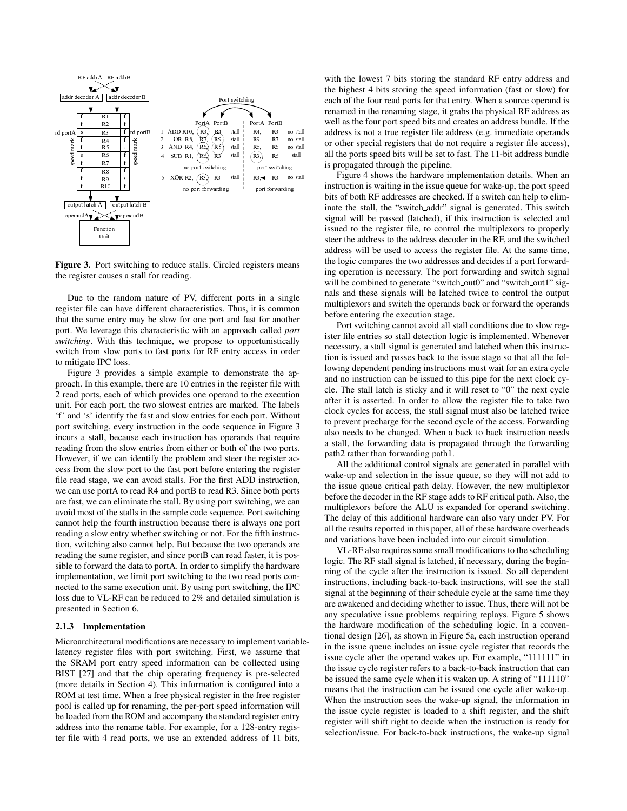

Figure 3. Port switching to reduce stalls. Circled registers means the register causes a stall for reading.

Due to the random nature of PV, different ports in a single register file can have different characteristics. Thus, it is common that the same entry may be slow for one port and fast for another port. We leverage this characteristic with an approach called *port switching*. With this technique, we propose to opportunistically switch from slow ports to fast ports for RF entry access in order to mitigate IPC loss.

Figure 3 provides a simple example to demonstrate the approach. In this example, there are 10 entries in the register file with 2 read ports, each of which provides one operand to the execution unit. For each port, the two slowest entries are marked. The labels 'f' and 's' identify the fast and slow entries for each port. Without port switching, every instruction in the code sequence in Figure 3 incurs a stall, because each instruction has operands that require reading from the slow entries from either or both of the two ports. However, if we can identify the problem and steer the register access from the slow port to the fast port before entering the register file read stage, we can avoid stalls. For the first ADD instruction, we can use portA to read R4 and portB to read R3. Since both ports are fast, we can eliminate the stall. By using port switching, we can avoid most of the stalls in the sample code sequence. Port switching cannot help the fourth instruction because there is always one port reading a slow entry whether switching or not. For the fifth instruction, switching also cannot help. But because the two operands are reading the same register, and since portB can read faster, it is possible to forward the data to portA. In order to simplify the hardware implementation, we limit port switching to the two read ports connected to the same execution unit. By using port switching, the IPC loss due to VL-RF can be reduced to 2% and detailed simulation is presented in Section 6.

# **2.1.3 Implementation**

Microarchitectural modifications are necessary to implement variablelatency register files with port switching. First, we assume that the SRAM port entry speed information can be collected using BIST [27] and that the chip operating frequency is pre-selected (more details in Section 4). This information is configured into a ROM at test time. When a free physical register in the free register pool is called up for renaming, the per-port speed information will be loaded from the ROM and accompany the standard register entry address into the rename table. For example, for a 128-entry register file with 4 read ports, we use an extended address of 11 bits,

with the lowest 7 bits storing the standard RF entry address and the highest 4 bits storing the speed information (fast or slow) for each of the four read ports for that entry. When a source operand is renamed in the renaming stage, it grabs the physical RF address as well as the four port speed bits and creates an address bundle. If the address is not a true register file address (e.g. immediate operands or other special registers that do not require a register file access), all the ports speed bits will be set to fast. The 11-bit address bundle is propagated through the pipeline.

Figure 4 shows the hardware implementation details. When an instruction is waiting in the issue queue for wake-up, the port speed bits of both RF addresses are checked. If a switch can help to eliminate the stall, the "switch addr" signal is generated. This switch signal will be passed (latched), if this instruction is selected and issued to the register file, to control the multiplexors to properly steer the address to the address decoder in the RF, and the switched address will be used to access the register file. At the same time, the logic compares the two addresses and decides if a port forwarding operation is necessary. The port forwarding and switch signal will be combined to generate "switch\_out0" and "switch\_out1" signals and these signals will be latched twice to control the output multiplexors and switch the operands back or forward the operands before entering the execution stage.

Port switching cannot avoid all stall conditions due to slow register file entries so stall detection logic is implemented. Whenever necessary, a stall signal is generated and latched when this instruction is issued and passes back to the issue stage so that all the following dependent pending instructions must wait for an extra cycle and no instruction can be issued to this pipe for the next clock cycle. The stall latch is sticky and it will reset to "0" the next cycle after it is asserted. In order to allow the register file to take two clock cycles for access, the stall signal must also be latched twice to prevent precharge for the second cycle of the access. Forwarding also needs to be changed. When a back to back instruction needs a stall, the forwarding data is propagated through the forwarding path2 rather than forwarding path1.

All the additional control signals are generated in parallel with wake-up and selection in the issue queue, so they will not add to the issue queue critical path delay. However, the new multiplexor before the decoder in the RF stage adds to RF critical path. Also, the multiplexors before the ALU is expanded for operand switching. The delay of this additional hardware can also vary under PV. For all the results reported in this paper, all of these hardware overheads and variations have been included into our circuit simulation.

VL-RF also requires some small modifications to the scheduling logic. The RF stall signal is latched, if necessary, during the beginning of the cycle after the instruction is issued. So all dependent instructions, including back-to-back instructions, will see the stall signal at the beginning of their schedule cycle at the same time they are awakened and deciding whether to issue. Thus, there will not be any speculative issue problems requiring replays. Figure 5 shows the hardware modification of the scheduling logic. In a conventional design [26], as shown in Figure 5a, each instruction operand in the issue queue includes an issue cycle register that records the issue cycle after the operand wakes up. For example, "111111" in the issue cycle register refers to a back-to-back instruction that can be issued the same cycle when it is waken up. A string of "111110" means that the instruction can be issued one cycle after wake-up. When the instruction sees the wake-up signal, the information in the issue cycle register is loaded to a shift register, and the shift register will shift right to decide when the instruction is ready for selection/issue. For back-to-back instructions, the wake-up signal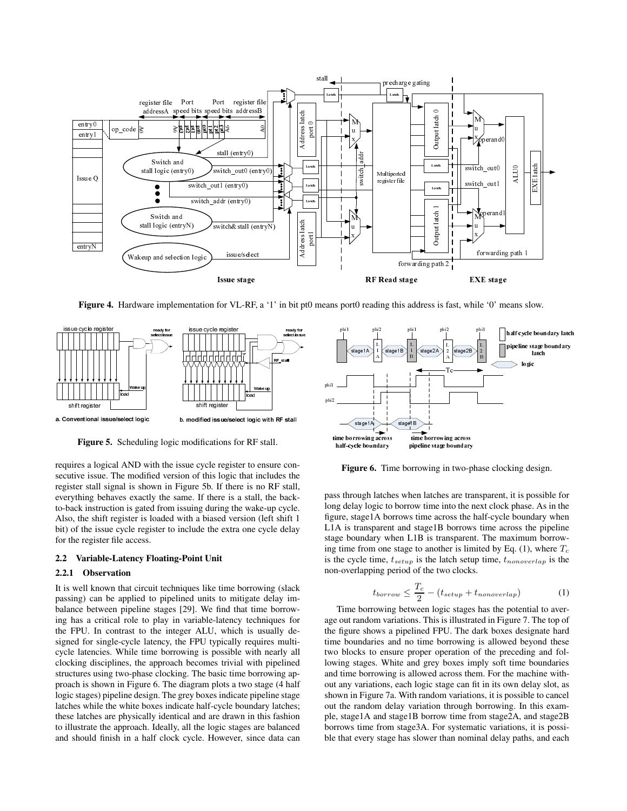

**Figure 4.** Hardware implementation for VL-RF, a '1' in bit pt0 means port0 reading this address is fast, while '0' means slow.



**Figure 5.** Scheduling logic modifications for RF stall.

requires a logical AND with the issue cycle register to ensure consecutive issue. The modified version of this logic that includes the register stall signal is shown in Figure 5b. If there is no RF stall, everything behaves exactly the same. If there is a stall, the backto-back instruction is gated from issuing during the wake-up cycle. Also, the shift register is loaded with a biased version (left shift 1 bit) of the issue cycle register to include the extra one cycle delay for the register file access.

### **2.2 Variable-Latency Floating-Point Unit**

### **2.2.1 Observation**

For VL-RF<br>
Integrate<br>
Integrate<br>
Integrate<br>
Integrate<br>
Integrate<br>
Integrate<br>
Integrate<br>
Integrate<br>
Integrate<br>
Integrate<br>
Integrate<br>
Integrate<br>
Integrate<br>
Integrate<br>
Integrate<br>
Integrate<br>
Integrate<br>
Integrate<br>
Integrate<br>
In It is well known that circuit techniques like time borrowing (slack passing) can be applied to pipelined units to mitigate delay imbalance between pipeline stages [29]. We find that time borrowing has a critical role to play in variable-latency techniques for the FPU. In contrast to the integer ALU, which is usually designed for single-cycle latency, the FPU typically requires multicycle latencies. While time borrowing is possible with nearly all clocking disciplines, the approach becomes trivial with pipelined structures using two-phase clocking. The basic time borrowing approach is shown in Figure 6. The diagram plots a two stage (4 half logic stages) pipeline design. The grey boxes indicate pipeline stage latches while the white boxes indicate half-cycle boundary latches; these latches are physically identical and are drawn in this fashion to illustrate the approach. Ideally, all the logic stages are balanced and should finish in a half clock cycle. However, since data can



**Figure 6.** Time borrowing in two-phase clocking design.

pass through latches when latches are transparent, it is possible for long delay logic to borrow time into the next clock phase. As in the figure, stage1A borrows time across the half-cycle boundary when L1A is transparent and stage1B borrows time across the pipeline stage boundary when L1B is transparent. The maximum borrowing time from one stage to another is limited by Eq.  $(1)$ , where  $T_c$ is the cycle time, t*setup* is the latch setup time, t*nonoverlap* is the non-overlapping period of the two clocks.

$$
t_{borrow} \leq \frac{T_c}{2} - (t_{setup} + t_{nonoverlap}) \tag{1}
$$

Time borrowing between logic stages has the potential to average out random variations. This is illustrated in Figure 7. The top of the figure shows a pipelined FPU. The dark boxes designate hard time boundaries and no time borrowing is allowed beyond these two blocks to ensure proper operation of the preceding and following stages. White and grey boxes imply soft time boundaries and time borrowing is allowed across them. For the machine without any variations, each logic stage can fit in its own delay slot, as shown in Figure 7a. With random variations, it is possible to cancel out the random delay variation through borrowing. In this example, stage1A and stage1B borrow time from stage2A, and stage2B borrows time from stage3A. For systematic variations, it is possible that every stage has slower than nominal delay paths, and each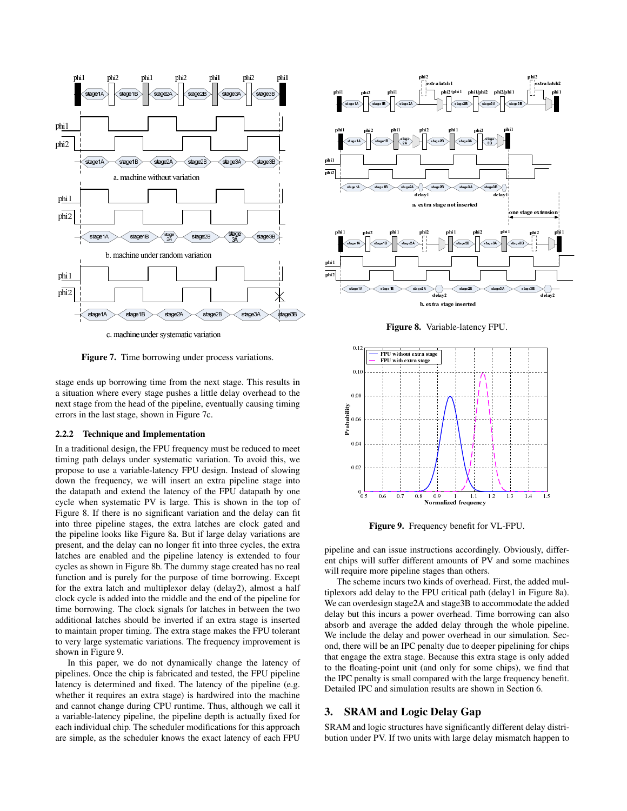

c. machine under systematic variation

**Figure 7.** Time borrowing under process variations.

stage ends up borrowing time from the next stage. This results in a situation where every stage pushes a little delay overhead to the next stage from the head of the pipeline, eventually causing timing errors in the last stage, shown in Figure 7c.

### **2.2.2 Technique and Implementation**

In a traditional design, the FPU frequency must be reduced to meet timing path delays under systematic variation. To avoid this, we propose to use a variable-latency FPU design. Instead of slowing down the frequency, we will insert an extra pipeline stage into the datapath and extend the latency of the FPU datapath by one cycle when systematic PV is large. This is shown in the top of Figure 8. If there is no significant variation and the delay can fit into three pipeline stages, the extra latches are clock gated and the pipeline looks like Figure 8a. But if large delay variations are present, and the delay can no longer fit into three cycles, the extra latches are enabled and the pipeline latency is extended to four cycles as shown in Figure 8b. The dummy stage created has no real function and is purely for the purpose of time borrowing. Except for the extra latch and multiplexor delay (delay2), almost a half clock cycle is added into the middle and the end of the pipeline for time borrowing. The clock signals for latches in between the two additional latches should be inverted if an extra stage is inserted to maintain proper timing. The extra stage makes the FPU tolerant to very large systematic variations. The frequency improvement is shown in Figure 9.

In this paper, we do not dynamically change the latency of pipelines. Once the chip is fabricated and tested, the FPU pipeline latency is determined and fixed. The latency of the pipeline (e.g. whether it requires an extra stage) is hardwired into the machine and cannot change during CPU runtime. Thus, although we call it a variable-latency pipeline, the pipeline depth is actually fixed for each individual chip. The scheduler modifications for this approach are simple, as the scheduler knows the exact latency of each FPU



**Figure 8.** Variable-latency FPU.



**Figure 9.** Frequency benefit for VL-FPU.

pipeline and can issue instructions accordingly. Obviously, different chips will suffer different amounts of PV and some machines will require more pipeline stages than others.

The scheme incurs two kinds of overhead. First, the added multiplexors add delay to the FPU critical path (delay1 in Figure 8a). We can overdesign stage2A and stage3B to accommodate the added delay but this incurs a power overhead. Time borrowing can also absorb and average the added delay through the whole pipeline. We include the delay and power overhead in our simulation. Second, there will be an IPC penalty due to deeper pipelining for chips that engage the extra stage. Because this extra stage is only added to the floating-point unit (and only for some chips), we find that the IPC penalty is small compared with the large frequency benefit. Detailed IPC and simulation results are shown in Section 6.

# **3. SRAM and Logic Delay Gap**

SRAM and logic structures have significantly different delay distribution under PV. If two units with large delay mismatch happen to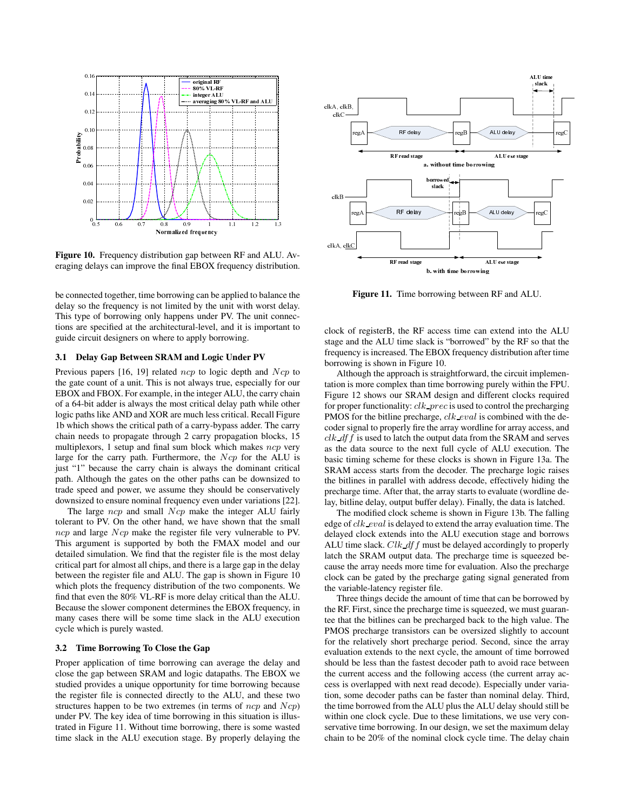

**Figure 10.** Frequency distribution gap between RF and ALU. Averaging delays can improve the final EBOX frequency distribution.

be connected together, time borrowing can be applied to balance the delay so the frequency is not limited by the unit with worst delay. This type of borrowing only happens under PV. The unit connections are specified at the architectural-level, and it is important to guide circuit designers on where to apply borrowing.

### **3.1 Delay Gap Between SRAM and Logic Under PV**

Previous papers  $[16, 19]$  related ncp to logic depth and  $Ncp$  to the gate count of a unit. This is not always true, especially for our EBOX and FBOX. For example, in the integer ALU, the carry chain of a 64-bit adder is always the most critical delay path while other logic paths like AND and XOR are much less critical. Recall Figure 1b which shows the critical path of a carry-bypass adder. The carry chain needs to propagate through 2 carry propagation blocks, 15 multiplexors, 1 setup and final sum block which makes  $ncp$  very large for the carry path. Furthermore, the  $Ncp$  for the ALU is just "1" because the carry chain is always the dominant critical path. Although the gates on the other paths can be downsized to trade speed and power, we assume they should be conservatively downsized to ensure nominal frequency even under variations [22].

The large  $ncp$  and small  $Ncp$  make the integer ALU fairly tolerant to PV. On the other hand, we have shown that the small ncp and large Ncp make the register file very vulnerable to PV. This argument is supported by both the FMAX model and our detailed simulation. We find that the register file is the most delay critical part for almost all chips, and there is a large gap in the delay between the register file and ALU. The gap is shown in Figure 10 which plots the frequency distribution of the two components. We find that even the 80% VL-RF is more delay critical than the ALU. Because the slower component determines the EBOX frequency, in many cases there will be some time slack in the ALU execution cycle which is purely wasted.

### **3.2 Time Borrowing To Close the Gap**

Proper application of time borrowing can average the delay and close the gap between SRAM and logic datapaths. The EBOX we studied provides a unique opportunity for time borrowing because the register file is connected directly to the ALU, and these two structures happen to be two extremes (in terms of  $ncp$  and  $Ncp$ ) under PV. The key idea of time borrowing in this situation is illustrated in Figure 11. Without time borrowing, there is some wasted time slack in the ALU execution stage. By properly delaying the



**Figure 11.** Time borrowing between RF and ALU.

clock of registerB, the RF access time can extend into the ALU stage and the ALU time slack is "borrowed" by the RF so that the frequency is increased. The EBOX frequency distribution after time borrowing is shown in Figure 10.

Although the approach is straightforward, the circuit implementation is more complex than time borrowing purely within the FPU. Figure 12 shows our SRAM design and different clocks required for proper functionality:  $clk\_prec$  is used to control the precharging PMOS for the bitline precharge, clk\_eval is combined with the decoder signal to properly fire the array wordline for array access, and  $clk\_df$  is used to latch the output data from the SRAM and serves as the data source to the next full cycle of ALU execution. The basic timing scheme for these clocks is shown in Figure 13a. The SRAM access starts from the decoder. The precharge logic raises the bitlines in parallel with address decode, effectively hiding the precharge time. After that, the array starts to evaluate (wordline delay, bitline delay, output buffer delay). Finally, the data is latched.

The modified clock scheme is shown in Figure 13b. The falling edge of clk\_eval is delayed to extend the array evaluation time. The delayed clock extends into the ALU execution stage and borrows ALU time slack.  $Clk$  df f must be delayed accordingly to properly latch the SRAM output data. The precharge time is squeezed because the array needs more time for evaluation. Also the precharge clock can be gated by the precharge gating signal generated from the variable-latency register file.

Three things decide the amount of time that can be borrowed by the RF. First, since the precharge time is squeezed, we must guarantee that the bitlines can be precharged back to the high value. The PMOS precharge transistors can be oversized slightly to account for the relatively short precharge period. Second, since the array evaluation extends to the next cycle, the amount of time borrowed should be less than the fastest decoder path to avoid race between the current access and the following access (the current array access is overlapped with next read decode). Especially under variation, some decoder paths can be faster than nominal delay. Third, the time borrowed from the ALU plus the ALU delay should still be within one clock cycle. Due to these limitations, we use very conservative time borrowing. In our design, we set the maximum delay chain to be 20% of the nominal clock cycle time. The delay chain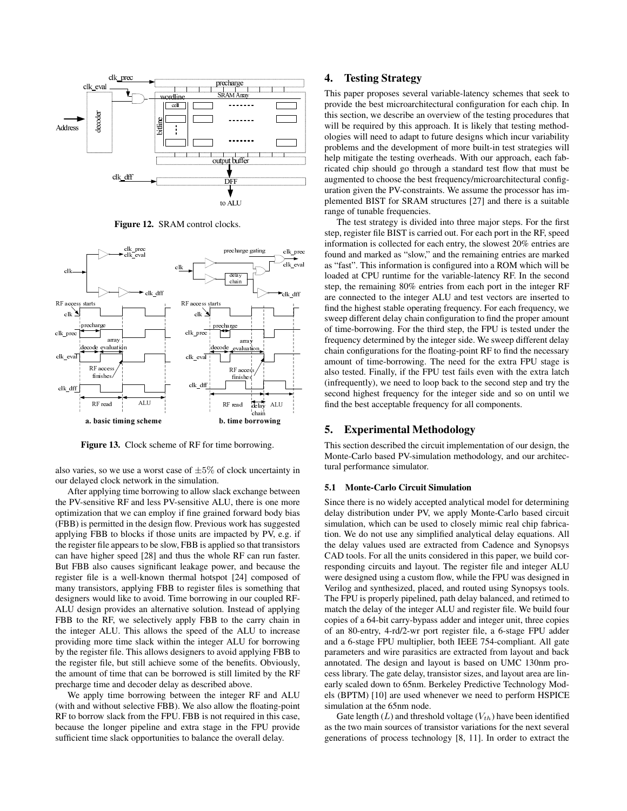

**Figure 12.** SRAM control clocks.



**Figure 13.** Clock scheme of RF for time borrowing.

also varies, so we use a worst case of  $\pm 5\%$  of clock uncertainty in our delayed clock network in the simulation.

After applying time borrowing to allow slack exchange between the PV-sensitive RF and less PV-sensitive ALU, there is one more optimization that we can employ if fine grained forward body bias (FBB) is permitted in the design flow. Previous work has suggested applying FBB to blocks if those units are impacted by PV, e.g. if the register file appears to be slow, FBB is applied so that transistors can have higher speed [28] and thus the whole RF can run faster. But FBB also causes significant leakage power, and because the register file is a well-known thermal hotspot [24] composed of many transistors, applying FBB to register files is something that designers would like to avoid. Time borrowing in our coupled RF-ALU design provides an alternative solution. Instead of applying FBB to the RF, we selectively apply FBB to the carry chain in the integer ALU. This allows the speed of the ALU to increase providing more time slack within the integer ALU for borrowing by the register file. This allows designers to avoid applying FBB to the register file, but still achieve some of the benefits. Obviously, the amount of time that can be borrowed is still limited by the RF precharge time and decoder delay as described above.

We apply time borrowing between the integer RF and ALU (with and without selective FBB). We also allow the floating-point RF to borrow slack from the FPU. FBB is not required in this case, because the longer pipeline and extra stage in the FPU provide sufficient time slack opportunities to balance the overall delay.

# **4. Testing Strategy**

This paper proposes several variable-latency schemes that seek to provide the best microarchitectural configuration for each chip. In this section, we describe an overview of the testing procedures that will be required by this approach. It is likely that testing methodologies will need to adapt to future designs which incur variability problems and the development of more built-in test strategies will help mitigate the testing overheads. With our approach, each fabricated chip should go through a standard test flow that must be augmented to choose the best frequency/microarchitectural configuration given the PV-constraints. We assume the processor has implemented BIST for SRAM structures [27] and there is a suitable range of tunable frequencies.

The test strategy is divided into three major steps. For the first step, register file BIST is carried out. For each port in the RF, speed information is collected for each entry, the slowest 20% entries are found and marked as "slow," and the remaining entries are marked as "fast". This information is configured into a ROM which will be loaded at CPU runtime for the variable-latency RF. In the second step, the remaining 80% entries from each port in the integer RF are connected to the integer ALU and test vectors are inserted to find the highest stable operating frequency. For each frequency, we sweep different delay chain configuration to find the proper amount of time-borrowing. For the third step, the FPU is tested under the frequency determined by the integer side. We sweep different delay chain configurations for the floating-point RF to find the necessary amount of time-borrowing. The need for the extra FPU stage is also tested. Finally, if the FPU test fails even with the extra latch (infrequently), we need to loop back to the second step and try the second highest frequency for the integer side and so on until we find the best acceptable frequency for all components.

### **5. Experimental Methodology**

This section described the circuit implementation of our design, the Monte-Carlo based PV-simulation methodology, and our architectural performance simulator.

### **5.1 Monte-Carlo Circuit Simulation**

Since there is no widely accepted analytical model for determining delay distribution under PV, we apply Monte-Carlo based circuit simulation, which can be used to closely mimic real chip fabrication. We do not use any simplified analytical delay equations. All the delay values used are extracted from Cadence and Synopsys CAD tools. For all the units considered in this paper, we build corresponding circuits and layout. The register file and integer ALU were designed using a custom flow, while the FPU was designed in Verilog and synthesized, placed, and routed using Synopsys tools. The FPU is properly pipelined, path delay balanced, and retimed to match the delay of the integer ALU and register file. We build four copies of a 64-bit carry-bypass adder and integer unit, three copies of an 80-entry, 4-rd/2-wr port register file, a 6-stage FPU adder and a 6-stage FPU multiplier, both IEEE 754-compliant. All gate parameters and wire parasitics are extracted from layout and back annotated. The design and layout is based on UMC 130nm process library. The gate delay, transistor sizes, and layout area are linearly scaled down to 65nm. Berkeley Predictive Technology Models (BPTM) [10] are used whenever we need to perform HSPICE simulation at the 65nm node.

Gate length  $(L)$  and threshold voltage  $(V_{th})$  have been identified as the two main sources of transistor variations for the next several generations of process technology [8, 11]. In order to extract the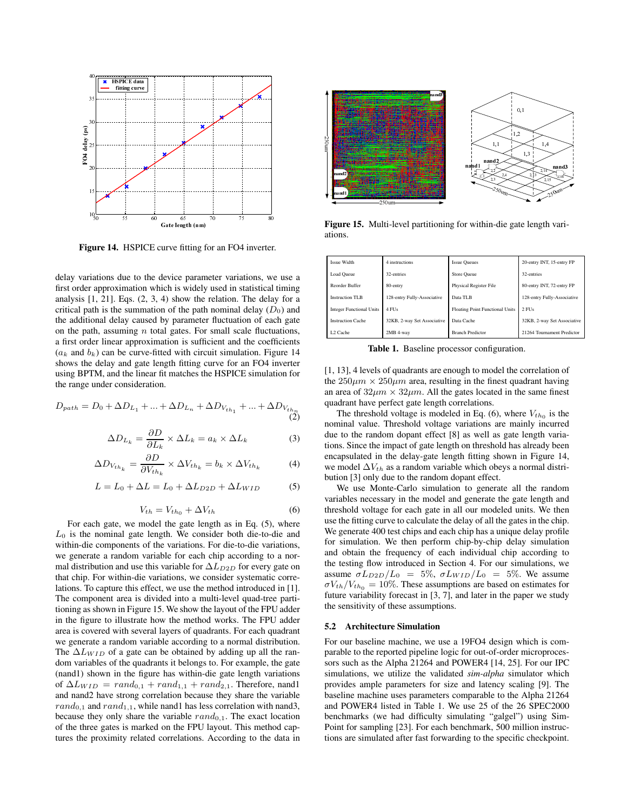

**Figure 14.** HSPICE curve fitting for an FO4 inverter.

delay variations due to the device parameter variations, we use a first order approximation which is widely used in statistical timing analysis [1, 21]. Eqs. (2, 3, 4) show the relation. The delay for a critical path is the summation of the path nominal delay  $(D_0)$  and the additional delay caused by parameter fluctuation of each gate on the path, assuming  $n$  total gates. For small scale fluctuations, a first order linear approximation is sufficient and the coefficients  $(a_k$  and  $b_k$ ) can be curve-fitted with circuit simulation. Figure 14 shows the delay and gate length fitting curve for an FO4 inverter using BPTM, and the linear fit matches the HSPICE simulation for the range under consideration.

$$
D_{path} = D_0 + \Delta D_{L_1} + ... + \Delta D_{L_n} + \Delta D_{V_{th_1}} + ... + \Delta D_{V_{th_n}}
$$
\n(2)

$$
\Delta D_{L_k} = \frac{\partial D}{\partial L_k} \times \Delta L_k = a_k \times \Delta L_k \tag{3}
$$

$$
\Delta D_{V_{th_k}} = \frac{\partial D}{\partial V_{th_k}} \times \Delta V_{th_k} = b_k \times \Delta V_{th_k}
$$
 (4)

$$
L = L_0 + \Delta L = L_0 + \Delta L_{D2D} + \Delta L_{WID}
$$
 (5)

$$
V_{th} = V_{th_0} + \Delta V_{th} \tag{6}
$$

For each gate, we model the gate length as in Eq. (5), where  $L_0$  is the nominal gate length. We consider both die-to-die and within-die components of the variations. For die-to-die variations, we generate a random variable for each chip according to a normal distribution and use this variable for ∆L*D*2*<sup>D</sup>* for every gate on that chip. For within-die variations, we consider systematic correlations. To capture this effect, we use the method introduced in [1]. The component area is divided into a multi-level quad-tree partitioning as shown in Figure 15. We show the layout of the FPU adder in the figure to illustrate how the method works. The FPU adder area is covered with several layers of quadrants. For each quadrant we generate a random variable according to a normal distribution. The  $\Delta L_{WID}$  of a gate can be obtained by adding up all the random variables of the quadrants it belongs to. For example, the gate (nand1) shown in the figure has within-die gate length variations of  $\Delta L_{WID} = rand_{0,1} + rand_{1,1} + rand_{2,1}$ . Therefore, nand1 and nand2 have strong correlation because they share the variable  $rand_{0,1}$  and  $rand_{1,1}$ , while nand1 has less correlation with nand3, because they only share the variable  $rand_{0,1}$ . The exact location of the three gates is marked on the FPU layout. This method captures the proximity related correlations. According to the data in



**Figure 15.** Multi-level partitioning for within-die gate length variations.

| <b>Issue Width</b>              | 4 instructions              | <b>Issue Queues</b>                    | 20-entry INT, 15-entry FP   |
|---------------------------------|-----------------------------|----------------------------------------|-----------------------------|
| Load Queue                      | 32-entries                  | Store Queue                            | 32-entries                  |
| Reorder Buffer                  | 80-entry                    | Physical Register File                 | 80-entry INT, 72-entry FP   |
| <b>Instruction TLB</b>          | 128-entry Fully-Associative | Data TLB                               | 128-entry Fully-Associative |
| <b>Integer Functional Units</b> | 4 FUs                       | <b>Floating Point Functional Units</b> | $2$ FUs                     |
| <b>Instruction Cache</b>        | 32KB, 2-way Set Associative | Data Cache                             | 32KB, 2-way Set Associative |
| L <sub>2</sub> Cache            | 2MB 4-way                   | <b>Branch Predictor</b>                | 21264 Tournament Predictor  |

**Table 1.** Baseline processor configuration.

[1, 13], 4 levels of quadrants are enough to model the correlation of the  $250\mu m \times 250\mu m$  area, resulting in the finest quadrant having an area of  $32\mu m \times 32\mu m$ . All the gates located in the same finest quadrant have perfect gate length correlations.

The threshold voltage is modeled in Eq. (6), where  $V_{th_0}$  is the nominal value. Threshold voltage variations are mainly incurred due to the random dopant effect [8] as well as gate length variations. Since the impact of gate length on threshold has already been encapsulated in the delay-gate length fitting shown in Figure 14, we model ∆V*th* as a random variable which obeys a normal distribution [3] only due to the random dopant effect.

We use Monte-Carlo simulation to generate all the random variables necessary in the model and generate the gate length and threshold voltage for each gate in all our modeled units. We then use the fitting curve to calculate the delay of all the gates in the chip. We generate 400 test chips and each chip has a unique delay profile for simulation. We then perform chip-by-chip delay simulation and obtain the frequency of each individual chip according to the testing flow introduced in Section 4. For our simulations, we assume  $\sigma L_{D2D}/L_0 = 5\%$ ,  $\sigma L_{WID}/L_0 = 5\%$ . We assume  $\sigma V_{th}/V_{th_0} = 10\%$ . These assumptions are based on estimates for future variability forecast in [3, 7], and later in the paper we study the sensitivity of these assumptions.

### **5.2 Architecture Simulation**

For our baseline machine, we use a 19FO4 design which is comparable to the reported pipeline logic for out-of-order microprocessors such as the Alpha 21264 and POWER4 [14, 25]. For our IPC simulations, we utilize the validated *sim-alpha* simulator which provides ample parameters for size and latency scaling [9]. The baseline machine uses parameters comparable to the Alpha 21264 and POWER4 listed in Table 1. We use 25 of the 26 SPEC2000 benchmarks (we had difficulty simulating "galgel") using Sim-Point for sampling [23]. For each benchmark, 500 million instructions are simulated after fast forwarding to the specific checkpoint.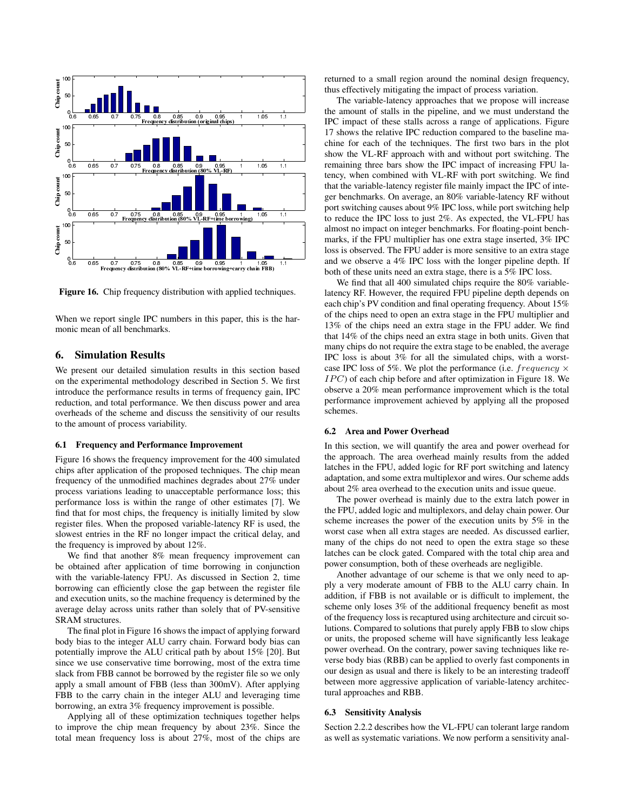

**Figure 16.** Chip frequency distribution with applied techniques.

When we report single IPC numbers in this paper, this is the harmonic mean of all benchmarks.

# **6. Simulation Results**

We present our detailed simulation results in this section based on the experimental methodology described in Section 5. We first introduce the performance results in terms of frequency gain, IPC reduction, and total performance. We then discuss power and area overheads of the scheme and discuss the sensitivity of our results to the amount of process variability.

### **6.1 Frequency and Performance Improvement**

Figure 16 shows the frequency improvement for the 400 simulated chips after application of the proposed techniques. The chip mean frequency of the unmodified machines degrades about 27% under process variations leading to unacceptable performance loss; this performance loss is within the range of other estimates [7]. We find that for most chips, the frequency is initially limited by slow register files. When the proposed variable-latency RF is used, the slowest entries in the RF no longer impact the critical delay, and the frequency is improved by about 12%.

We find that another 8% mean frequency improvement can be obtained after application of time borrowing in conjunction with the variable-latency FPU. As discussed in Section 2, time borrowing can efficiently close the gap between the register file and execution units, so the machine frequency is determined by the average delay across units rather than solely that of PV-sensitive SRAM structures.

The final plot in Figure 16 shows the impact of applying forward body bias to the integer ALU carry chain. Forward body bias can potentially improve the ALU critical path by about 15% [20]. But since we use conservative time borrowing, most of the extra time slack from FBB cannot be borrowed by the register file so we only apply a small amount of FBB (less than 300mV). After applying FBB to the carry chain in the integer ALU and leveraging time borrowing, an extra 3% frequency improvement is possible.

Applying all of these optimization techniques together helps to improve the chip mean frequency by about 23%. Since the total mean frequency loss is about 27%, most of the chips are returned to a small region around the nominal design frequency, thus effectively mitigating the impact of process variation.

The variable-latency approaches that we propose will increase the amount of stalls in the pipeline, and we must understand the IPC impact of these stalls across a range of applications. Figure 17 shows the relative IPC reduction compared to the baseline machine for each of the techniques. The first two bars in the plot show the VL-RF approach with and without port switching. The remaining three bars show the IPC impact of increasing FPU latency, when combined with VL-RF with port switching. We find that the variable-latency register file mainly impact the IPC of integer benchmarks. On average, an 80% variable-latency RF without port switching causes about 9% IPC loss, while port switching help to reduce the IPC loss to just 2%. As expected, the VL-FPU has almost no impact on integer benchmarks. For floating-point benchmarks, if the FPU multiplier has one extra stage inserted, 3% IPC loss is observed. The FPU adder is more sensitive to an extra stage and we observe a 4% IPC loss with the longer pipeline depth. If both of these units need an extra stage, there is a 5% IPC loss.

We find that all 400 simulated chips require the 80% variablelatency RF. However, the required FPU pipeline depth depends on each chip's PV condition and final operating frequency. About 15% of the chips need to open an extra stage in the FPU multiplier and 13% of the chips need an extra stage in the FPU adder. We find that 14% of the chips need an extra stage in both units. Given that many chips do not require the extra stage to be enabled, the average IPC loss is about 3% for all the simulated chips, with a worstcase IPC loss of 5%. We plot the performance (i.e.  $frequency \times$ IPC) of each chip before and after optimization in Figure 18. We observe a 20% mean performance improvement which is the total performance improvement achieved by applying all the proposed schemes.

#### **6.2 Area and Power Overhead**

In this section, we will quantify the area and power overhead for the approach. The area overhead mainly results from the added latches in the FPU, added logic for RF port switching and latency adaptation, and some extra multiplexor and wires. Our scheme adds about 2% area overhead to the execution units and issue queue.

The power overhead is mainly due to the extra latch power in the FPU, added logic and multiplexors, and delay chain power. Our scheme increases the power of the execution units by 5% in the worst case when all extra stages are needed. As discussed earlier, many of the chips do not need to open the extra stage so these latches can be clock gated. Compared with the total chip area and power consumption, both of these overheads are negligible.

Another advantage of our scheme is that we only need to apply a very moderate amount of FBB to the ALU carry chain. In addition, if FBB is not available or is difficult to implement, the scheme only loses 3% of the additional frequency benefit as most of the frequency loss is recaptured using architecture and circuit solutions. Compared to solutions that purely apply FBB to slow chips or units, the proposed scheme will have significantly less leakage power overhead. On the contrary, power saving techniques like reverse body bias (RBB) can be applied to overly fast components in our design as usual and there is likely to be an interesting tradeoff between more aggressive application of variable-latency architectural approaches and RBB.

#### **6.3 Sensitivity Analysis**

Section 2.2.2 describes how the VL-FPU can tolerant large random as well as systematic variations. We now perform a sensitivity anal-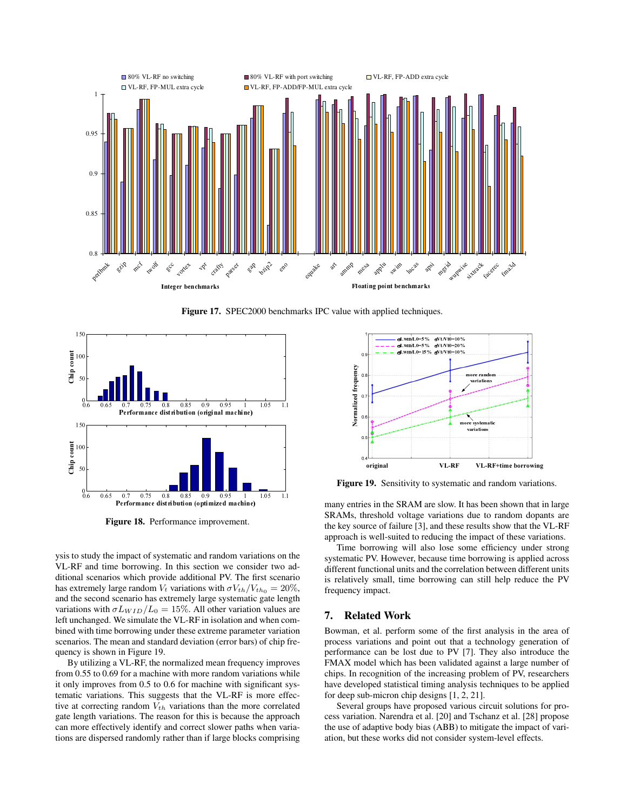

**Figure 17.** SPEC2000 benchmarks IPC value with applied techniques.



**Figure 18.** Performance improvement.

ysis to study the impact of systematic and random variations on the VL-RF and time borrowing. In this section we consider two additional scenarios which provide additional PV. The first scenario has extremely large random  $V_t$  variations with  $\sigma V_{th}/V_{th_0} = 20\%,$ and the second scenario has extremely large systematic gate length variations with  $\sigma L_{WD}/L_0 = 15\%$ . All other variation values are left unchanged. We simulate the VL-RF in isolation and when combined with time borrowing under these extreme parameter variation scenarios. The mean and standard deviation (error bars) of chip frequency is shown in Figure 19.

By utilizing a VL-RF, the normalized mean frequency improves from 0.55 to 0.69 for a machine with more random variations while it only improves from 0.5 to 0.6 for machine with significant systematic variations. This suggests that the VL-RF is more effective at correcting random V*th* variations than the more correlated gate length variations. The reason for this is because the approach can more effectively identify and correct slower paths when variations are dispersed randomly rather than if large blocks comprising



**Figure 19.** Sensitivity to systematic and random variations.

many entries in the SRAM are slow. It has been shown that in large SRAMs, threshold voltage variations due to random dopants are the key source of failure [3], and these results show that the VL-RF approach is well-suited to reducing the impact of these variations.

Time borrowing will also lose some efficiency under strong systematic PV. However, because time borrowing is applied across different functional units and the correlation between different units is relatively small, time borrowing can still help reduce the PV frequency impact.

# **7. Related Work**

Bowman, et al. perform some of the first analysis in the area of process variations and point out that a technology generation of performance can be lost due to PV [7]. They also introduce the FMAX model which has been validated against a large number of chips. In recognition of the increasing problem of PV, researchers have developed statistical timing analysis techniques to be applied for deep sub-micron chip designs [1, 2, 21].

Several groups have proposed various circuit solutions for process variation. Narendra et al. [20] and Tschanz et al. [28] propose the use of adaptive body bias (ABB) to mitigate the impact of variation, but these works did not consider system-level effects.